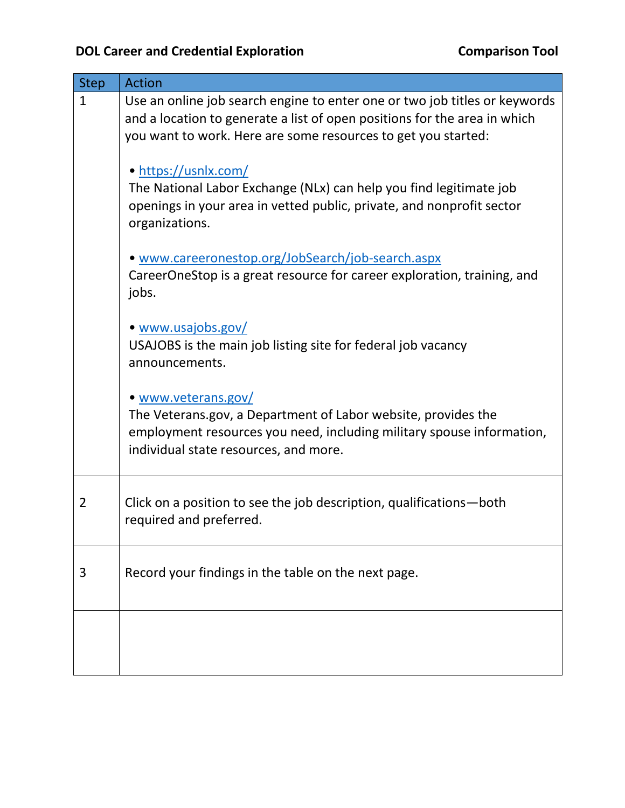| <b>Step</b>  | <b>Action</b>                                                                                                                                                                                                            |
|--------------|--------------------------------------------------------------------------------------------------------------------------------------------------------------------------------------------------------------------------|
| $\mathbf{1}$ | Use an online job search engine to enter one or two job titles or keywords<br>and a location to generate a list of open positions for the area in which<br>you want to work. Here are some resources to get you started: |
|              | • https://usnlx.com/<br>The National Labor Exchange (NLx) can help you find legitimate job<br>openings in your area in vetted public, private, and nonprofit sector<br>organizations.                                    |
|              | • www.careeronestop.org/JobSearch/job-search.aspx<br>CareerOneStop is a great resource for career exploration, training, and<br>jobs.                                                                                    |
|              | • www.usajobs.gov/<br>USAJOBS is the main job listing site for federal job vacancy<br>announcements.                                                                                                                     |
|              | • www.veterans.gov/<br>The Veterans.gov, a Department of Labor website, provides the<br>employment resources you need, including military spouse information,<br>individual state resources, and more.                   |
| 2            | Click on a position to see the job description, qualifications—both<br>required and preferred.                                                                                                                           |
| 3            | Record your findings in the table on the next page.                                                                                                                                                                      |
|              |                                                                                                                                                                                                                          |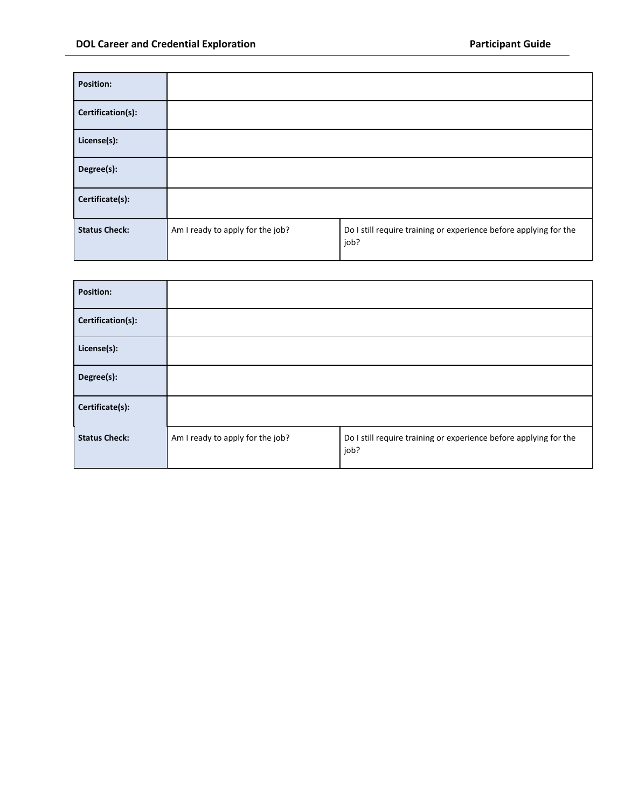| <b>Position:</b>     |                                  |                                                                           |
|----------------------|----------------------------------|---------------------------------------------------------------------------|
| Certification(s):    |                                  |                                                                           |
| License(s):          |                                  |                                                                           |
| Degree(s):           |                                  |                                                                           |
| Certificate(s):      |                                  |                                                                           |
| <b>Status Check:</b> | Am I ready to apply for the job? | Do I still require training or experience before applying for the<br>job? |

| <b>Position:</b>     |                                  |                                                                           |
|----------------------|----------------------------------|---------------------------------------------------------------------------|
| Certification(s):    |                                  |                                                                           |
| License(s):          |                                  |                                                                           |
| Degree(s):           |                                  |                                                                           |
| Certificate(s):      |                                  |                                                                           |
| <b>Status Check:</b> | Am I ready to apply for the job? | Do I still require training or experience before applying for the<br>job? |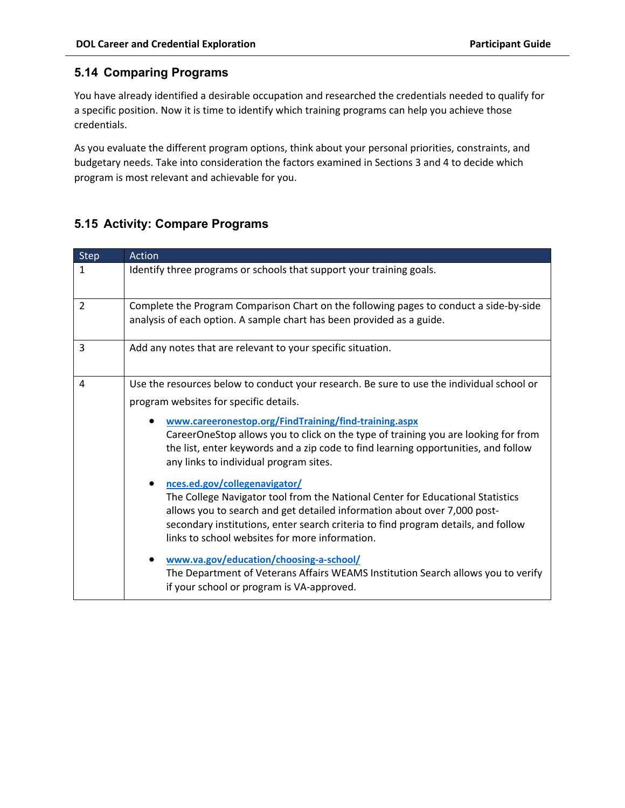## **5.14 Comparing Programs**

You have already identified a desirable occupation and researched the credentials needed to qualify for a specific position. Now it is time to identify which training programs can help you achieve those credentials.

As you evaluate the different program options, think about your personal priorities, constraints, and budgetary needs. Take into consideration the factors examined in Sections 3 and 4 to decide which program is most relevant and achievable for you.

## **5.15 Activity: Compare Programs**

| <b>Step</b>    | Action                                                                                                                                                                                                                                                                                                                                                                                                                                                                                                                                                                                                                                                                                                                                                                                              |
|----------------|-----------------------------------------------------------------------------------------------------------------------------------------------------------------------------------------------------------------------------------------------------------------------------------------------------------------------------------------------------------------------------------------------------------------------------------------------------------------------------------------------------------------------------------------------------------------------------------------------------------------------------------------------------------------------------------------------------------------------------------------------------------------------------------------------------|
| $\mathbf{1}$   | Identify three programs or schools that support your training goals.                                                                                                                                                                                                                                                                                                                                                                                                                                                                                                                                                                                                                                                                                                                                |
| $\overline{2}$ | Complete the Program Comparison Chart on the following pages to conduct a side-by-side<br>analysis of each option. A sample chart has been provided as a guide.                                                                                                                                                                                                                                                                                                                                                                                                                                                                                                                                                                                                                                     |
| 3              | Add any notes that are relevant to your specific situation.                                                                                                                                                                                                                                                                                                                                                                                                                                                                                                                                                                                                                                                                                                                                         |
| 4              | Use the resources below to conduct your research. Be sure to use the individual school or<br>program websites for specific details.<br>www.careeronestop.org/FindTraining/find-training.aspx<br>CareerOneStop allows you to click on the type of training you are looking for from<br>the list, enter keywords and a zip code to find learning opportunities, and follow<br>any links to individual program sites.<br>nces.ed.gov/collegenavigator/<br>The College Navigator tool from the National Center for Educational Statistics<br>allows you to search and get detailed information about over 7,000 post-<br>secondary institutions, enter search criteria to find program details, and follow<br>links to school websites for more information.<br>www.va.gov/education/choosing-a-school/ |
|                | The Department of Veterans Affairs WEAMS Institution Search allows you to verify<br>if your school or program is VA-approved.                                                                                                                                                                                                                                                                                                                                                                                                                                                                                                                                                                                                                                                                       |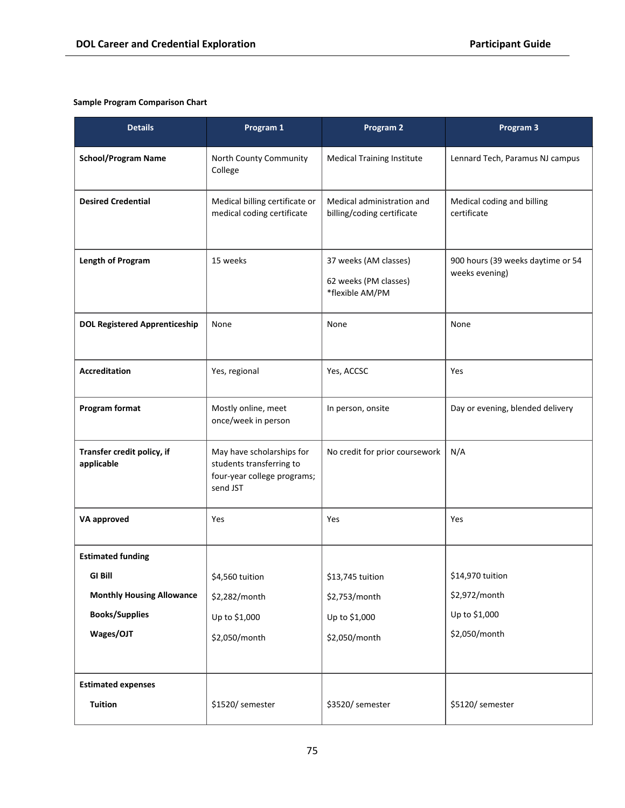## **Sample Program Comparison Chart**

| <b>Details</b>                           | Program 1                                                                                        | Program 2                                                         | Program 3                                           |
|------------------------------------------|--------------------------------------------------------------------------------------------------|-------------------------------------------------------------------|-----------------------------------------------------|
| <b>School/Program Name</b>               | North County Community<br>College                                                                | <b>Medical Training Institute</b>                                 | Lennard Tech, Paramus NJ campus                     |
| <b>Desired Credential</b>                | Medical billing certificate or<br>medical coding certificate                                     | Medical administration and<br>billing/coding certificate          | Medical coding and billing<br>certificate           |
| Length of Program                        | 15 weeks                                                                                         | 37 weeks (AM classes)<br>62 weeks (PM classes)<br>*flexible AM/PM | 900 hours (39 weeks daytime or 54<br>weeks evening) |
| <b>DOL Registered Apprenticeship</b>     | None                                                                                             | None                                                              | None                                                |
| <b>Accreditation</b>                     | Yes, regional                                                                                    | Yes, ACCSC                                                        | Yes                                                 |
| <b>Program format</b>                    | Mostly online, meet<br>once/week in person                                                       | In person, onsite                                                 | Day or evening, blended delivery                    |
| Transfer credit policy, if<br>applicable | May have scholarships for<br>students transferring to<br>four-year college programs;<br>send JST | No credit for prior coursework                                    | N/A                                                 |
| <b>VA approved</b>                       | Yes                                                                                              | Yes                                                               | Yes                                                 |
| <b>Estimated funding</b>                 |                                                                                                  |                                                                   |                                                     |
| GI Bill                                  | \$4,560 tuition                                                                                  | \$13,745 tuition                                                  | \$14,970 tuition                                    |
| <b>Monthly Housing Allowance</b>         | \$2,282/month                                                                                    | \$2,753/month                                                     | \$2,972/month                                       |
| <b>Books/Supplies</b>                    | Up to \$1,000                                                                                    | Up to \$1,000                                                     | Up to \$1,000                                       |
| Wages/OJT                                | \$2,050/month                                                                                    | \$2,050/month                                                     | \$2,050/month                                       |
| <b>Estimated expenses</b>                |                                                                                                  |                                                                   |                                                     |
| <b>Tuition</b>                           | \$1520/ semester                                                                                 | \$3520/ semester                                                  | \$5120/ semester                                    |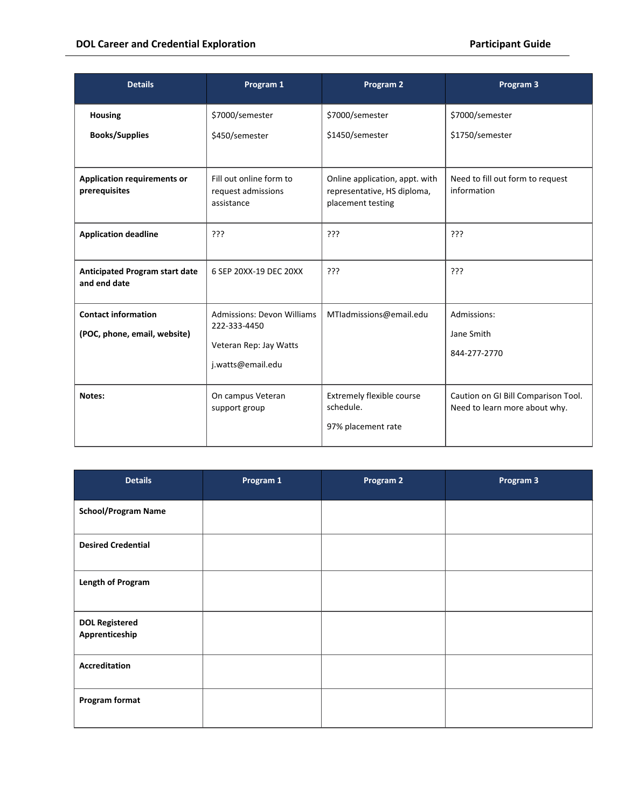| <b>Details</b>                                             | Program 1                                                                                        | Program 2                                                                          | Program 3                                                            |
|------------------------------------------------------------|--------------------------------------------------------------------------------------------------|------------------------------------------------------------------------------------|----------------------------------------------------------------------|
| <b>Housing</b><br><b>Books/Supplies</b>                    | \$7000/semester<br>\$450/semester                                                                | \$7000/semester<br>\$1450/semester                                                 | \$7000/semester<br>\$1750/semester                                   |
| <b>Application requirements or</b><br>prerequisites        | Fill out online form to<br>request admissions<br>assistance                                      | Online application, appt. with<br>representative, HS diploma,<br>placement testing | Need to fill out form to request<br>information                      |
| <b>Application deadline</b>                                | ???                                                                                              | 222                                                                                | ???                                                                  |
| <b>Anticipated Program start date</b><br>and end date      | 6 SEP 20XX-19 DEC 20XX                                                                           | ???                                                                                | ???                                                                  |
| <b>Contact information</b><br>(POC, phone, email, website) | <b>Admissions: Devon Williams</b><br>222-333-4450<br>Veteran Rep: Jay Watts<br>j.watts@email.edu | MTIadmissions@email.edu                                                            | Admissions:<br>Jane Smith<br>844-277-2770                            |
| Notes:                                                     | On campus Veteran<br>support group                                                               | Extremely flexible course<br>schedule.<br>97% placement rate                       | Caution on GI Bill Comparison Tool.<br>Need to learn more about why. |

| <b>Details</b>                          | Program 1 | Program 2 | Program 3 |
|-----------------------------------------|-----------|-----------|-----------|
| <b>School/Program Name</b>              |           |           |           |
| <b>Desired Credential</b>               |           |           |           |
| <b>Length of Program</b>                |           |           |           |
| <b>DOL Registered</b><br>Apprenticeship |           |           |           |
| Accreditation                           |           |           |           |
| <b>Program format</b>                   |           |           |           |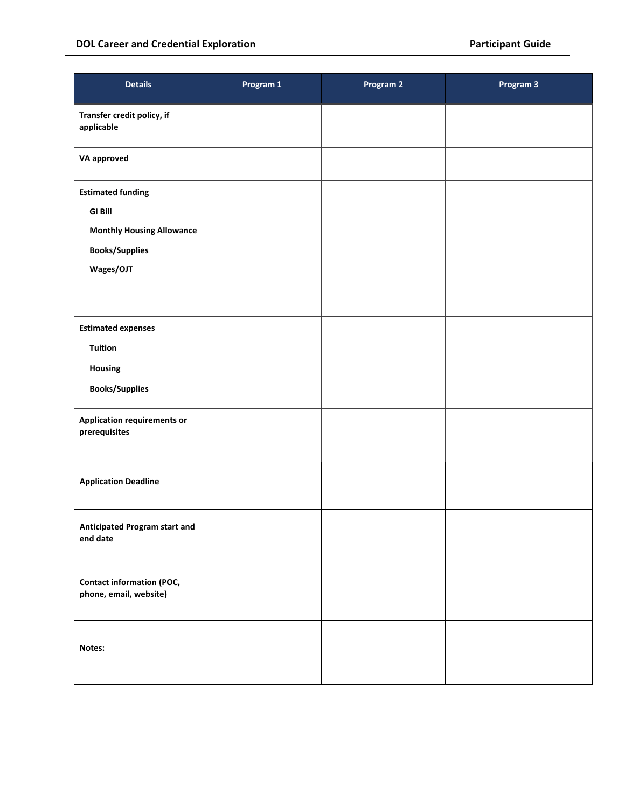| <b>Details</b>                                                                                                       | Program 1 | Program 2 | Program 3 |
|----------------------------------------------------------------------------------------------------------------------|-----------|-----------|-----------|
| Transfer credit policy, if<br>applicable                                                                             |           |           |           |
| <b>VA approved</b>                                                                                                   |           |           |           |
| <b>Estimated funding</b><br><b>GI Bill</b><br><b>Monthly Housing Allowance</b><br><b>Books/Supplies</b><br>Wages/OJT |           |           |           |
| <b>Estimated expenses</b><br><b>Tuition</b><br>Housing<br><b>Books/Supplies</b>                                      |           |           |           |
| <b>Application requirements or</b><br>prerequisites                                                                  |           |           |           |
| <b>Application Deadline</b>                                                                                          |           |           |           |
| Anticipated Program start and<br>end date                                                                            |           |           |           |
| <b>Contact information (POC,</b><br>phone, email, website)                                                           |           |           |           |
| Notes:                                                                                                               |           |           |           |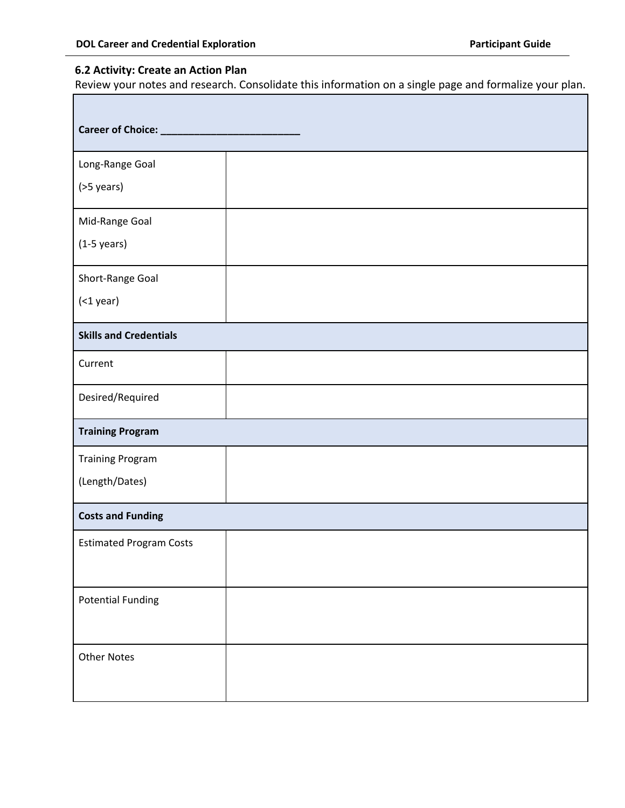## **6.2 Activity: Create an Action Plan**

П

Review your notes and research. Consolidate this information on a single page and formalize your plan.

| Career of Choice: _____________ |  |
|---------------------------------|--|
| Long-Range Goal                 |  |
| (>5 years)                      |  |
| Mid-Range Goal                  |  |
| $(1-5 \text{ years})$           |  |
| Short-Range Goal                |  |
| $($ 1 year $)$                  |  |
| <b>Skills and Credentials</b>   |  |
| Current                         |  |
| Desired/Required                |  |
| <b>Training Program</b>         |  |
| <b>Training Program</b>         |  |
| (Length/Dates)                  |  |
| <b>Costs and Funding</b>        |  |
| <b>Estimated Program Costs</b>  |  |
| <b>Potential Funding</b>        |  |
| <b>Other Notes</b>              |  |